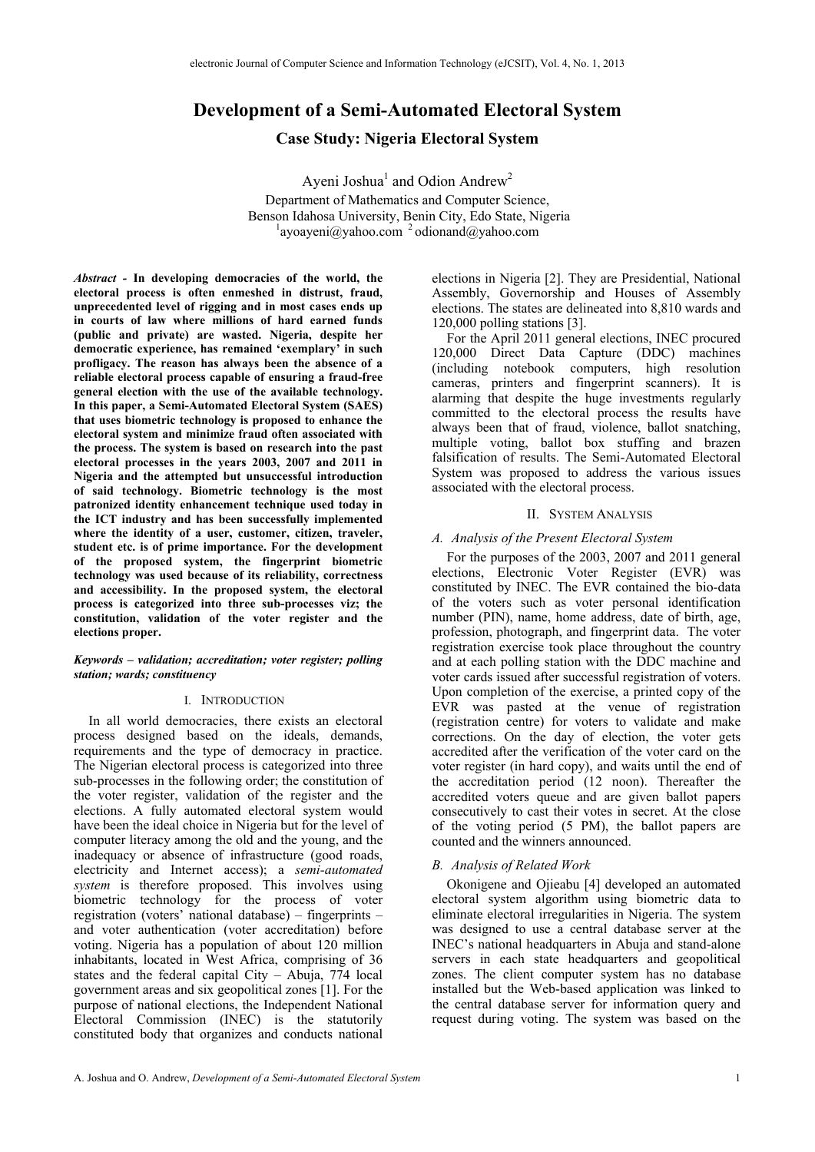# **Development of a Semi-Automated Electoral System**

**Case Study: Nigeria Electoral System** 

Ayeni Joshua<sup>1</sup> and Odion Andrew<sup>2</sup> Department of Mathematics and Computer Science, Benson Idahosa University, Benin City, Edo State, Nigeria 1  $^{1}$ ayoayeni $\omega$ yahoo.com  $^{2}$  odionand $\omega$ yahoo.com

*Abstract -* **In developing democracies of the world, the electoral process is often enmeshed in distrust, fraud, unprecedented level of rigging and in most cases ends up in courts of law where millions of hard earned funds (public and private) are wasted. Nigeria, despite her democratic experience, has remained 'exemplary' in such profligacy. The reason has always been the absence of a reliable electoral process capable of ensuring a fraud-free general election with the use of the available technology. In this paper, a Semi-Automated Electoral System (SAES) that uses biometric technology is proposed to enhance the electoral system and minimize fraud often associated with the process. The system is based on research into the past electoral processes in the years 2003, 2007 and 2011 in Nigeria and the attempted but unsuccessful introduction of said technology. Biometric technology is the most patronized identity enhancement technique used today in the ICT industry and has been successfully implemented where the identity of a user, customer, citizen, traveler, student etc. is of prime importance. For the development of the proposed system, the fingerprint biometric technology was used because of its reliability, correctness and accessibility. In the proposed system, the electoral process is categorized into three sub-processes viz; the constitution, validation of the voter register and the elections proper.** 

### *Keywords – validation; accreditation; voter register; polling station; wards; constituency*

### I. INTRODUCTION

In all world democracies, there exists an electoral process designed based on the ideals, demands, requirements and the type of democracy in practice. The Nigerian electoral process is categorized into three sub-processes in the following order; the constitution of the voter register, validation of the register and the elections. A fully automated electoral system would have been the ideal choice in Nigeria but for the level of computer literacy among the old and the young, and the inadequacy or absence of infrastructure (good roads, electricity and Internet access); a *semi-automated system* is therefore proposed. This involves using biometric technology for the process of voter registration (voters' national database) – fingerprints – and voter authentication (voter accreditation) before voting. Nigeria has a population of about 120 million inhabitants, located in West Africa, comprising of 36 states and the federal capital City – Abuja, 774 local government areas and six geopolitical zones [1]. For the purpose of national elections, the Independent National Electoral Commission (INEC) is the statutorily constituted body that organizes and conducts national

elections in Nigeria [2]. They are Presidential, National Assembly, Governorship and Houses of Assembly elections. The states are delineated into 8,810 wards and 120,000 polling stations [3].

For the April 2011 general elections, INEC procured 120,000 Direct Data Capture (DDC) machines (including notebook computers, high resolution cameras, printers and fingerprint scanners). It is alarming that despite the huge investments regularly committed to the electoral process the results have always been that of fraud, violence, ballot snatching, multiple voting, ballot box stuffing and brazen falsification of results. The Semi-Automated Electoral System was proposed to address the various issues associated with the electoral process.

### II. SYSTEM ANALYSIS

## *A. Analysis of the Present Electoral System*

For the purposes of the 2003, 2007 and 2011 general elections, Electronic Voter Register (EVR) was constituted by INEC. The EVR contained the bio-data of the voters such as voter personal identification number (PIN), name, home address, date of birth, age, profession, photograph, and fingerprint data. The voter registration exercise took place throughout the country and at each polling station with the DDC machine and voter cards issued after successful registration of voters. Upon completion of the exercise, a printed copy of the EVR was pasted at the venue of registration (registration centre) for voters to validate and make corrections. On the day of election, the voter gets accredited after the verification of the voter card on the voter register (in hard copy), and waits until the end of the accreditation period (12 noon). Thereafter the accredited voters queue and are given ballot papers consecutively to cast their votes in secret. At the close of the voting period (5 PM), the ballot papers are counted and the winners announced.

## *B. Analysis of Related Work*

Okonigene and Ojieabu [4] developed an automated electoral system algorithm using biometric data to eliminate electoral irregularities in Nigeria. The system was designed to use a central database server at the INEC's national headquarters in Abuja and stand-alone servers in each state headquarters and geopolitical zones. The client computer system has no database installed but the Web-based application was linked to the central database server for information query and request during voting. The system was based on the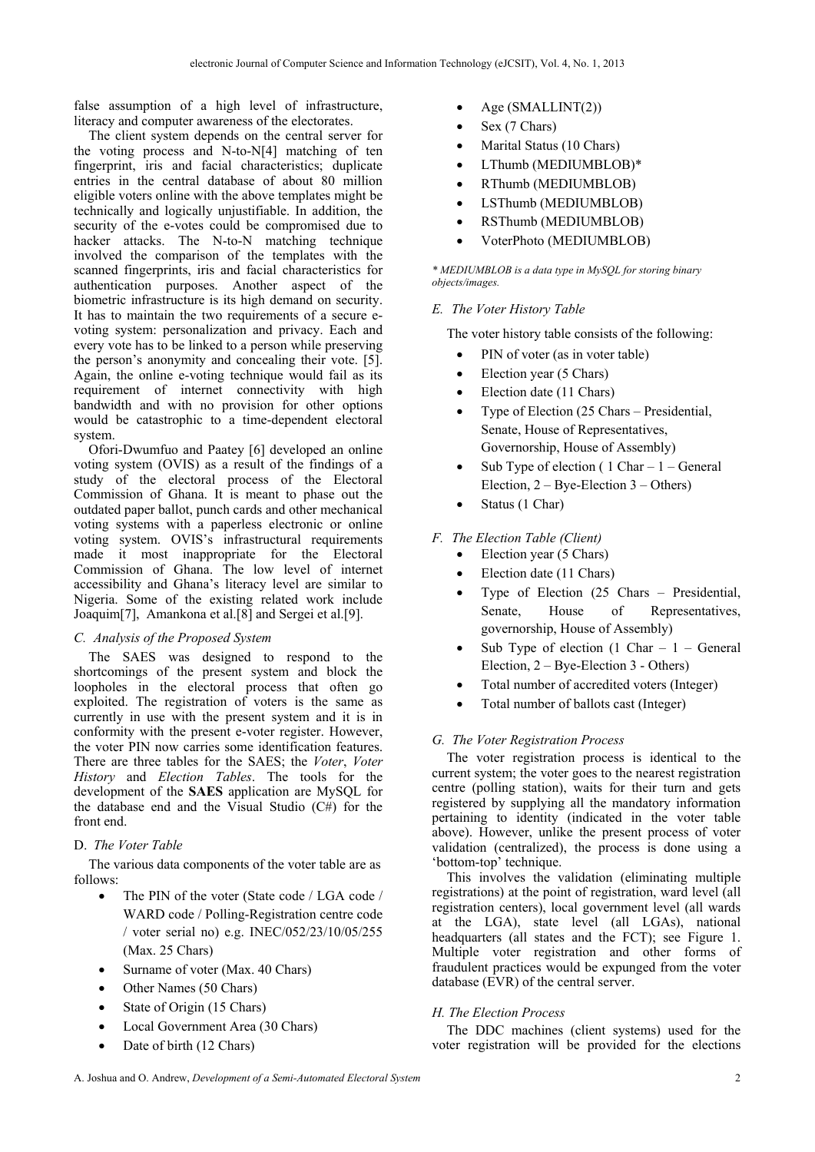false assumption of a high level of infrastructure, literacy and computer awareness of the electorates.

The client system depends on the central server for the voting process and N-to-N[4] matching of ten fingerprint, iris and facial characteristics; duplicate entries in the central database of about 80 million eligible voters online with the above templates might be technically and logically unjustifiable. In addition, the security of the e-votes could be compromised due to hacker attacks. The N-to-N matching technique involved the comparison of the templates with the scanned fingerprints, iris and facial characteristics for authentication purposes. Another aspect of the biometric infrastructure is its high demand on security. It has to maintain the two requirements of a secure evoting system: personalization and privacy. Each and every vote has to be linked to a person while preserving the person's anonymity and concealing their vote. [5]. Again, the online e-voting technique would fail as its requirement of internet connectivity with high bandwidth and with no provision for other options would be catastrophic to a time-dependent electoral system.

Ofori-Dwumfuo and Paatey [6] developed an online voting system (OVIS) as a result of the findings of a study of the electoral process of the Electoral Commission of Ghana. It is meant to phase out the outdated paper ballot, punch cards and other mechanical voting systems with a paperless electronic or online voting system. OVIS's infrastructural requirements made it most inappropriate for the Electoral Commission of Ghana. The low level of internet accessibility and Ghana's literacy level are similar to Nigeria. Some of the existing related work include Joaquim[7], Amankona et al.[8] and Sergei et al.[9].

## *C. Analysis of the Proposed System*

The SAES was designed to respond to the shortcomings of the present system and block the loopholes in the electoral process that often go exploited. The registration of voters is the same as currently in use with the present system and it is in conformity with the present e-voter register. However, the voter PIN now carries some identification features. There are three tables for the SAES; the *Voter*, *Voter History* and *Election Tables*. The tools for the development of the **SAES** application are MySQL for the database end and the Visual Studio (C#) for the front end.

## D. *The Voter Table*

The various data components of the voter table are as follows:

- The PIN of the voter (State code / LGA code / WARD code / Polling-Registration centre code / voter serial no) e.g. INEC/052/23/10/05/255 (Max. 25 Chars)
- Surname of voter (Max. 40 Chars)
- Other Names (50 Chars)
- State of Origin (15 Chars)
- Local Government Area (30 Chars)
- Date of birth (12 Chars)
- Age (SMALLINT(2))
- Sex (7 Chars)
- Marital Status (10 Chars)
- LThumb (MEDIUMBLOB)\*
- RThumb (MEDIUMBLOB)
- LSThumb (MEDIUMBLOB)
- RSThumb (MEDIUMBLOB)
- VoterPhoto (MEDIUMBLOB)

*\* MEDIUMBLOB is a data type in MySQL for storing binary objects/images.* 

## *E. The Voter History Table*

The voter history table consists of the following:

- PIN of voter (as in voter table)
- Election year (5 Chars)
- Election date (11 Chars)
- Type of Election (25 Chars Presidential, Senate, House of Representatives, Governorship, House of Assembly)
- Sub Type of election  $(1 \text{ Char} 1 \text{General})$ Election, 2 – Bye-Election 3 – Others)
- Status (1 Char)

## *F. The Election Table (Client)*

- Election year (5 Chars)
- Election date (11 Chars)
- Type of Election (25 Chars Presidential, Senate, House of Representatives, governorship, House of Assembly)
- Sub Type of election  $(1 \text{ Char} 1 \text{General})$ Election, 2 – Bye-Election 3 - Others)
- Total number of accredited voters (Integer)
- Total number of ballots cast (Integer)

## *G. The Voter Registration Process*

The voter registration process is identical to the current system; the voter goes to the nearest registration centre (polling station), waits for their turn and gets registered by supplying all the mandatory information pertaining to identity (indicated in the voter table above). However, unlike the present process of voter validation (centralized), the process is done using a 'bottom-top' technique.

This involves the validation (eliminating multiple registrations) at the point of registration, ward level (all registration centers), local government level (all wards at the LGA), state level (all LGAs), national headquarters (all states and the FCT); see Figure 1. Multiple voter registration and other forms of fraudulent practices would be expunged from the voter database (EVR) of the central server.

## *H. The Election Process*

The DDC machines (client systems) used for the voter registration will be provided for the elections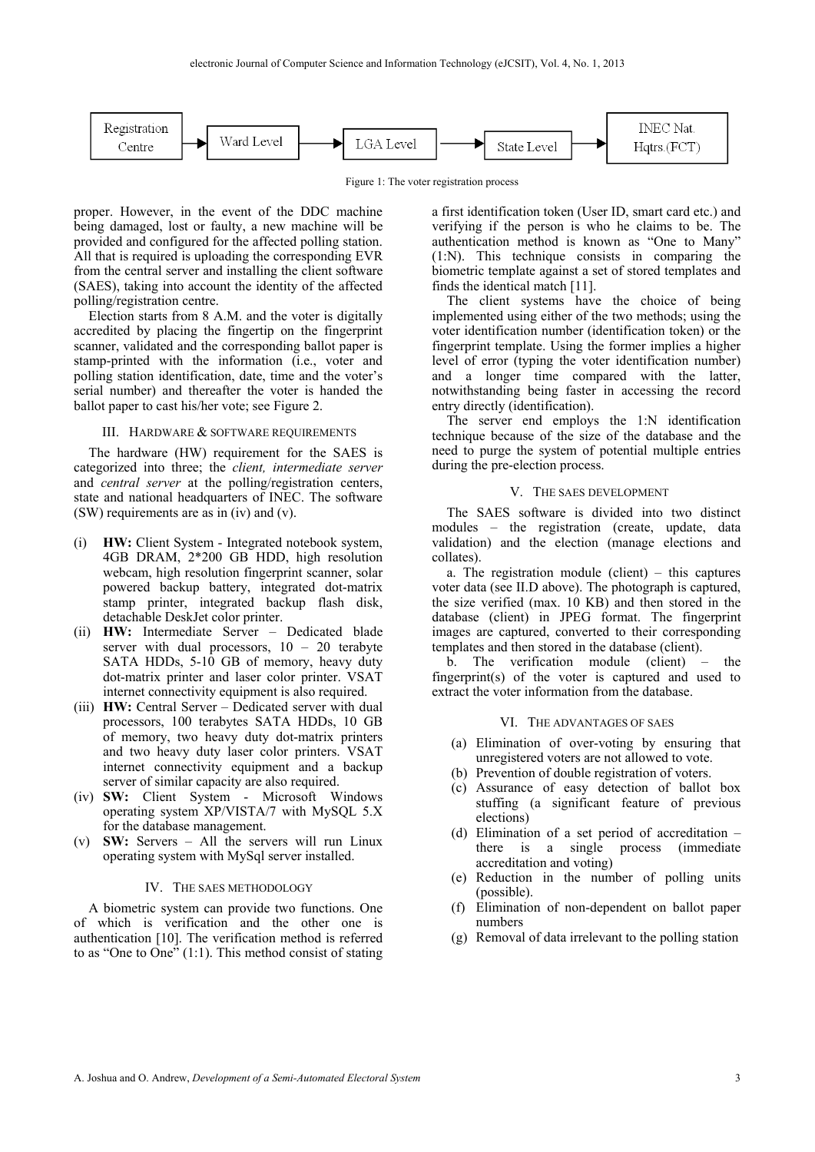

Figure 1: The voter registration process

proper. However, in the event of the DDC machine being damaged, lost or faulty, a new machine will be provided and configured for the affected polling station. All that is required is uploading the corresponding EVR from the central server and installing the client software (SAES), taking into account the identity of the affected polling/registration centre.

Election starts from 8 A.M. and the voter is digitally accredited by placing the fingertip on the fingerprint scanner, validated and the corresponding ballot paper is stamp-printed with the information (i.e., voter and polling station identification, date, time and the voter's serial number) and thereafter the voter is handed the ballot paper to cast his/her vote; see Figure 2.

#### III. HARDWARE & SOFTWARE REQUIREMENTS

The hardware (HW) requirement for the SAES is categorized into three; the *client, intermediate server*  and *central server* at the polling/registration centers, state and national headquarters of INEC. The software (SW) requirements are as in (iv) and (v).

- (i) **HW:** Client System Integrated notebook system, 4GB DRAM, 2\*200 GB HDD, high resolution webcam, high resolution fingerprint scanner, solar powered backup battery, integrated dot-matrix stamp printer, integrated backup flash disk, detachable DeskJet color printer.
- (ii) **HW:** Intermediate Server Dedicated blade server with dual processors,  $10 - 20$  terabyte SATA HDDs, 5-10 GB of memory, heavy duty dot-matrix printer and laser color printer. VSAT internet connectivity equipment is also required.
- (iii) **HW:** Central Server Dedicated server with dual processors, 100 terabytes SATA HDDs, 10 GB of memory, two heavy duty dot-matrix printers and two heavy duty laser color printers. VSAT internet connectivity equipment and a backup server of similar capacity are also required.
- (iv) **SW:** Client System Microsoft Windows operating system XP/VISTA/7 with MySQL 5.X for the database management.
- (v) **SW:** Servers All the servers will run Linux operating system with MySql server installed.

#### IV. THE SAES METHODOLOGY

A biometric system can provide two functions. One of which is verification and the other one is authentication [10]. The verification method is referred to as "One to One"  $(1:1)$ . This method consist of stating

a first identification token (User ID, smart card etc.) and verifying if the person is who he claims to be. The authentication method is known as "One to Many" (1:N). This technique consists in comparing the biometric template against a set of stored templates and finds the identical match [11].

The client systems have the choice of being implemented using either of the two methods; using the voter identification number (identification token) or the fingerprint template. Using the former implies a higher level of error (typing the voter identification number) and a longer time compared with the latter, notwithstanding being faster in accessing the record entry directly (identification).

The server end employs the 1:N identification technique because of the size of the database and the need to purge the system of potential multiple entries during the pre-election process.

### V. THE SAES DEVELOPMENT

The SAES software is divided into two distinct modules – the registration (create, update, data validation) and the election (manage elections and collates).

a. The registration module (client) – this captures voter data (see II.D above). The photograph is captured, the size verified (max. 10 KB) and then stored in the database (client) in JPEG format. The fingerprint images are captured, converted to their corresponding templates and then stored in the database (client).

b. The verification module (client) – the fingerprint(s) of the voter is captured and used to extract the voter information from the database.

#### VI. THE ADVANTAGES OF SAES

- (a) Elimination of over-voting by ensuring that unregistered voters are not allowed to vote.
- (b) Prevention of double registration of voters.
- (c) Assurance of easy detection of ballot box stuffing (a significant feature of previous elections)
- (d) Elimination of a set period of accreditation there is a single process (immediate accreditation and voting)
- (e) Reduction in the number of polling units (possible).
- (f) Elimination of non-dependent on ballot paper numbers
- (g) Removal of data irrelevant to the polling station